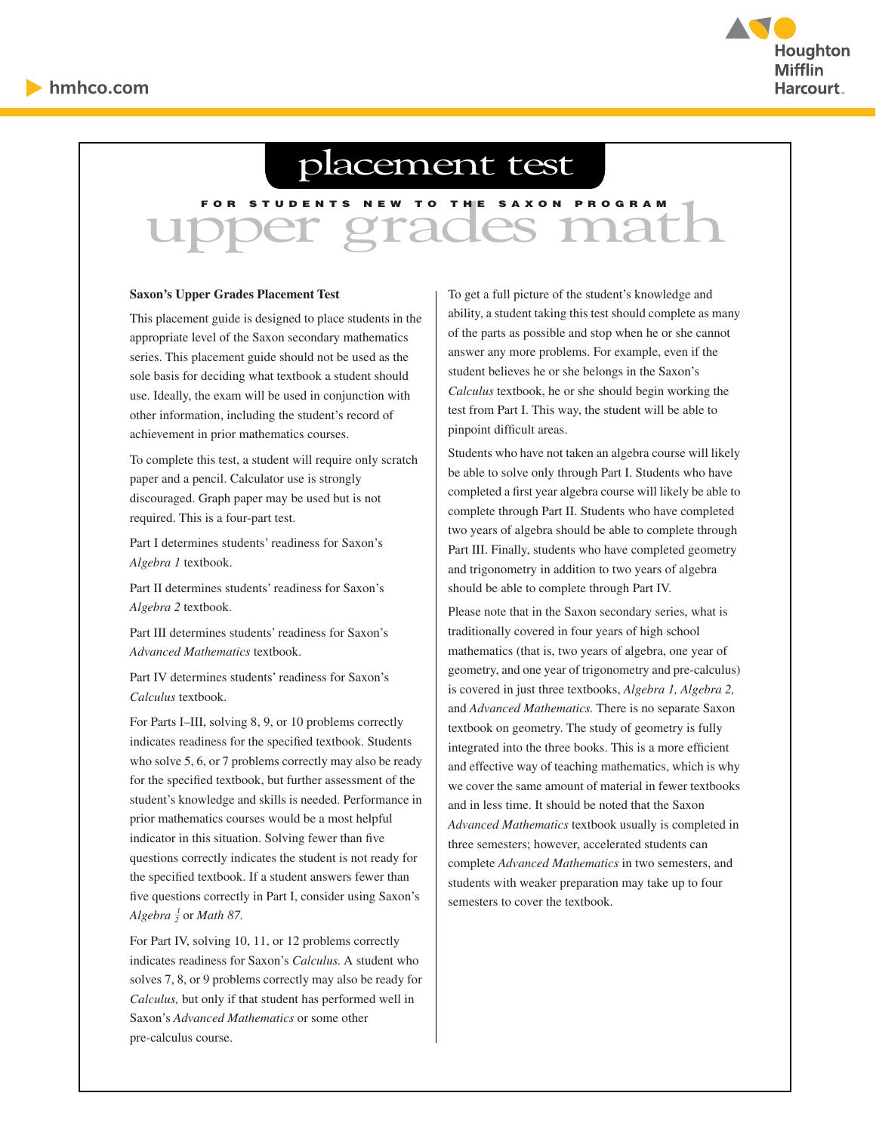

# placement test

# LUPPER GENERAL TO THE SAXON PROGRAM

#### **Saxon's Upper Grades Placement Test**

This placement guide is designed to place students in the appropriate level of the Saxon secondary mathematics series. This placement guide should not be used as the sole basis for deciding what textbook a student should use. Ideally, the exam will be used in conjunction with other information, including the student's record of achievement in prior mathematics courses.

To complete this test, a student will require only scratch paper and a pencil. Calculator use is strongly discouraged. Graph paper may be used but is not required. This is a four-part test.

Part I determines students' readiness for Saxon's *Algebra 1* textbook.

Part II determines students' readiness for Saxon's *Algebra 2* textbook.

Part III determines students' readiness for Saxon's *Advanced Mathematics* textbook.

Part IV determines students' readiness for Saxon's *Calculus* textbook.

For Parts I–III, solving 8, 9, or 10 problems correctly indicates readiness for the specified textbook. Students who solve 5, 6, or 7 problems correctly may also be ready for the specified textbook, but further assessment of the student's knowledge and skills is needed. Performance in prior mathematics courses would be a most helpful indicator in this situation. Solving fewer than five questions correctly indicates the student is not ready for the specified textbook. If a student answers fewer than five questions correctly in Part I, consider using Saxon's *Algebra*  $\frac{1}{2}$  or *Math 87.* 

For Part IV, solving 10, 11, or 12 problems correctly indicates readiness for Saxon's *Calculus.* A student who solves 7, 8, or 9 problems correctly may also be ready for *Calculus,* but only if that student has performed well in Saxon's *Advanced Mathematics* or some other pre-calculus course.

To get a full picture of the student's knowledge and ability, a student taking this test should complete as many of the parts as possible and stop when he or she cannot answer any more problems. For example, even if the student believes he or she belongs in the Saxon's *Calculus* textbook, he or she should begin working the test from Part I. This way, the student will be able to pinpoint difficult areas.

Students who have not taken an algebra course will likely be able to solve only through Part I. Students who have completed a first year algebra course will likely be able to complete through Part II. Students who have completed two years of algebra should be able to complete through Part III. Finally, students who have completed geometry and trigonometry in addition to two years of algebra should be able to complete through Part IV.

Please note that in the Saxon secondary series, what is traditionally covered in four years of high school mathematics (that is, two years of algebra, one year of geometry, and one year of trigonometry and pre-calculus) is covered in just three textbooks, *Algebra 1, Algebra 2,*  and *Advanced Mathematics.* There is no separate Saxon textbook on geometry. The study of geometry is fully integrated into the three books. This is a more efficient and effective way of teaching mathematics, which is why we cover the same amount of material in fewer textbooks and in less time. It should be noted that the Saxon *Advanced Mathematics* textbook usually is completed in three semesters; however, accelerated students can complete *Advanced Mathematics* in two semesters, and students with weaker preparation may take up to four semesters to cover the textbook.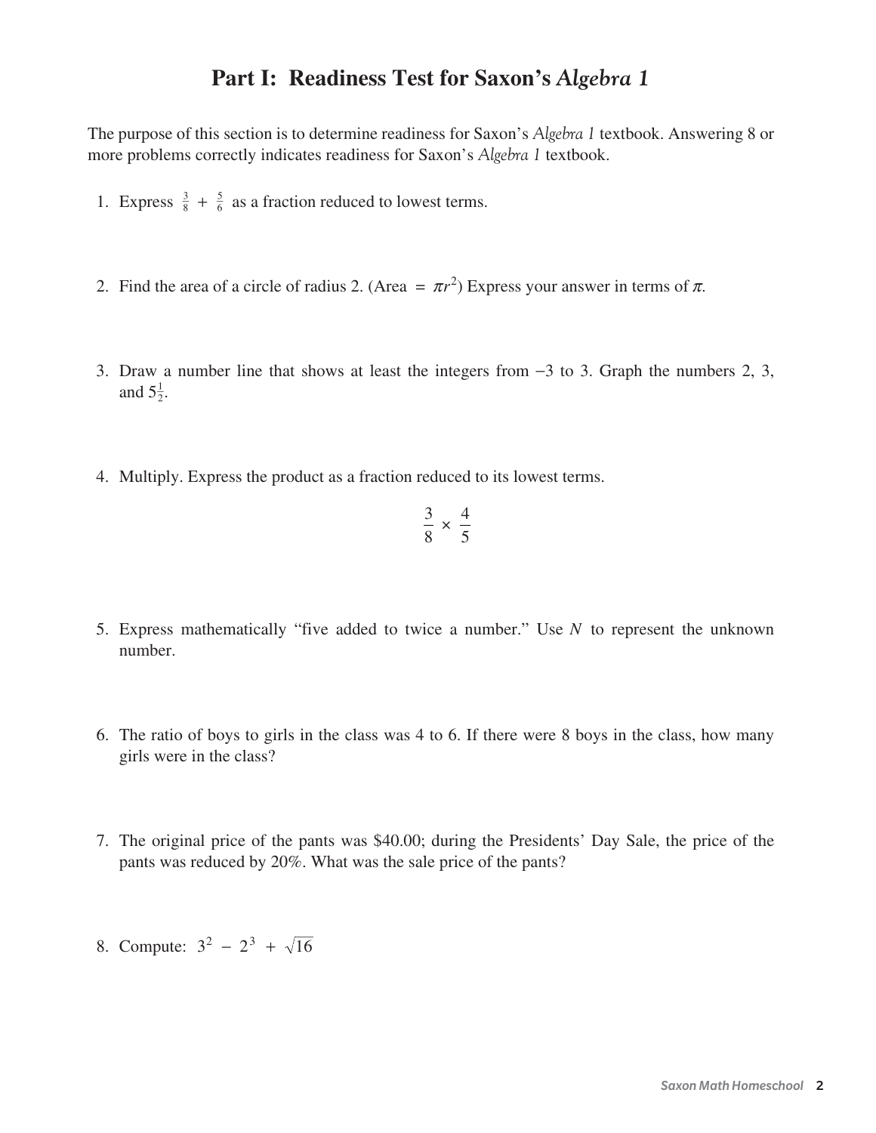### **Part I: Readiness Test for Saxon's** *Algebra 1*

The purpose of this section is to determine readiness for Saxon's *Algebra 1* textbook. Answering 8 or more problems correctly indicates readiness for Saxon's *Algebra 1* textbook.

- 1. Express  $\frac{3}{8} + \frac{5}{6}$  as a fraction reduced to lowest terms.
- 2. Find the area of a circle of radius 2. (Area  $= \pi r^2$ ) Express your answer in terms of  $\pi$ .
- 3. Draw a number line that shows at least the integers from  $-3$  to 3. Graph the numbers 2, 3, and  $5\frac{1}{2}$ .
- 4. Multiply. Express the product as a fraction reduced to its lowest terms.

$$
\frac{3}{8} \times \frac{4}{5}
$$

- 5. Express mathematically "five added to twice a number." Use *N* to represent the unknown number.
- 6. The ratio of boys to girls in the class was 4 to 6. If there were 8 boys in the class, how many girls were in the class?
- 7. The original price of the pants was \$40.00; during the Presidents' Day Sale, the price of the pants was reduced by 20%. What was the sale price of the pants?
- 8. Compute:  $3^2 2^3 + \sqrt{16}$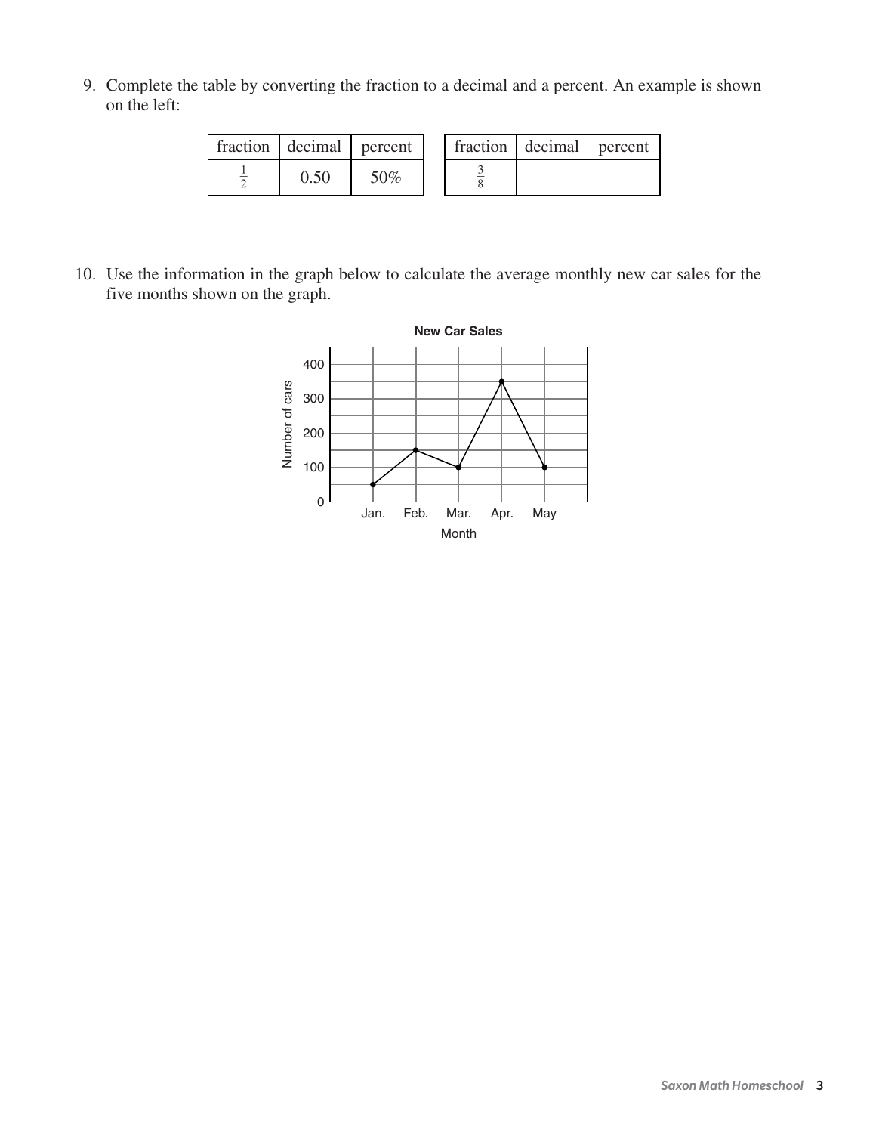9. Complete the table by converting the fraction to a decimal and a percent. An example is shown on the left:

| fraction decimal percent |     |  | fraction   decimal   percent |  |
|--------------------------|-----|--|------------------------------|--|
| 0.50                     | 50% |  |                              |  |

10. Use the information in the graph below to calculate the average monthly new car sales for the five months shown on the graph.

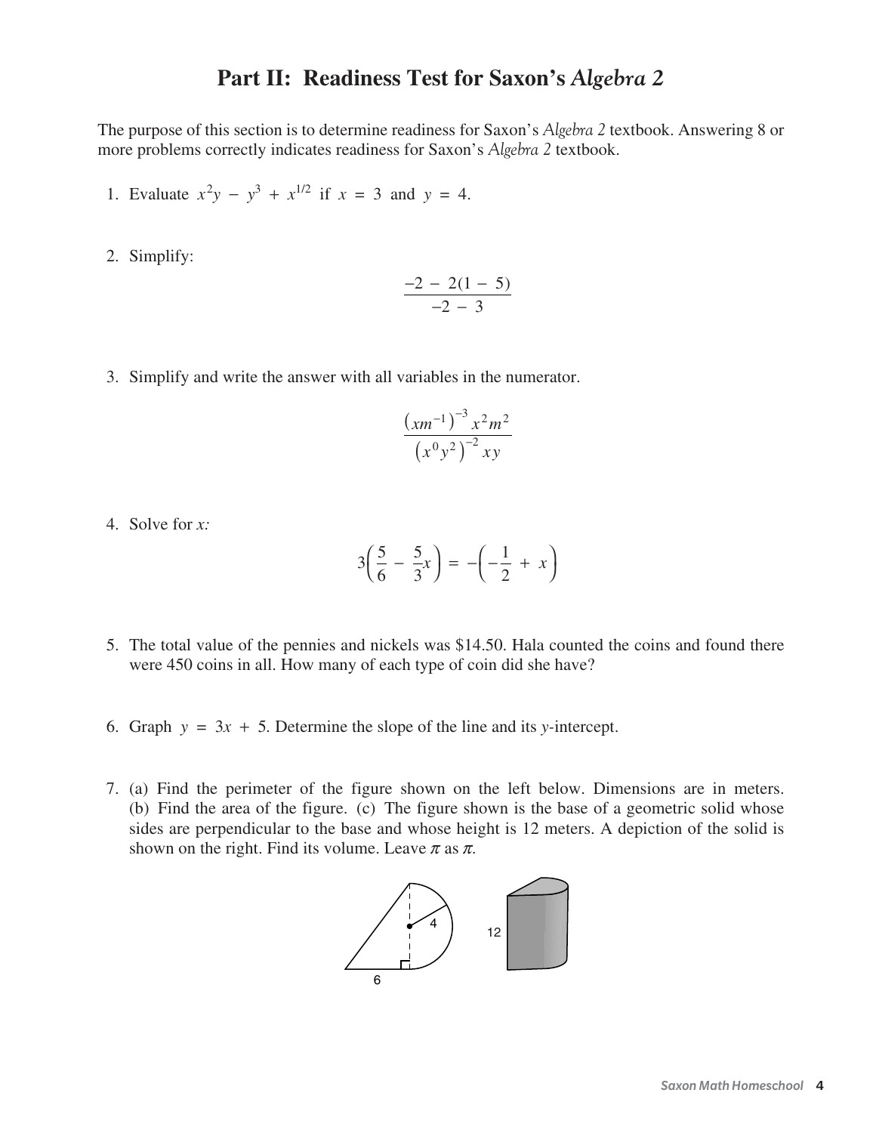#### **Part II: Readiness Test for Saxon's** *Algebra 2*

The purpose of this section is to determine readiness for Saxon's *Algebra 2* textbook. Answering 8 or more problems correctly indicates readiness for Saxon's *Algebra 2* textbook.

- 1. Evaluate  $x^2y y^3 + x^{1/2}$  if  $x = 3$  and  $y = 4$ .
- 2. Simplify:

$$
\frac{-2 - 2(1 - 5)}{-2 - 3}
$$

3. Simplify and write the answer with all variables in the numerator.

$$
\frac{\left(xm^{-1}\right)^{-3}x^2m^2}{\left(x^0y^2\right)^{-2}xy}
$$

4. Solve for *x:*

$$
3\left(\frac{5}{6} - \frac{5}{3}x\right) = -\left(-\frac{1}{2} + x\right)
$$

- 5. The total value of the pennies and nickels was \$14.50. Hala counted the coins and found there were 450 coins in all. How many of each type of coin did she have?
- 6. Graph  $y = 3x + 5$ . Determine the slope of the line and its *y*-intercept.
- 7. (a) Find the perimeter of the figure shown on the left below. Dimensions are in meters. (b) Find the area of the figure. (c) The figure shown is the base of a geometric solid whose sides are perpendicular to the base and whose height is 12 meters. A depiction of the solid is shown on the right. Find its volume. Leave  $\pi$  as  $\pi$ .

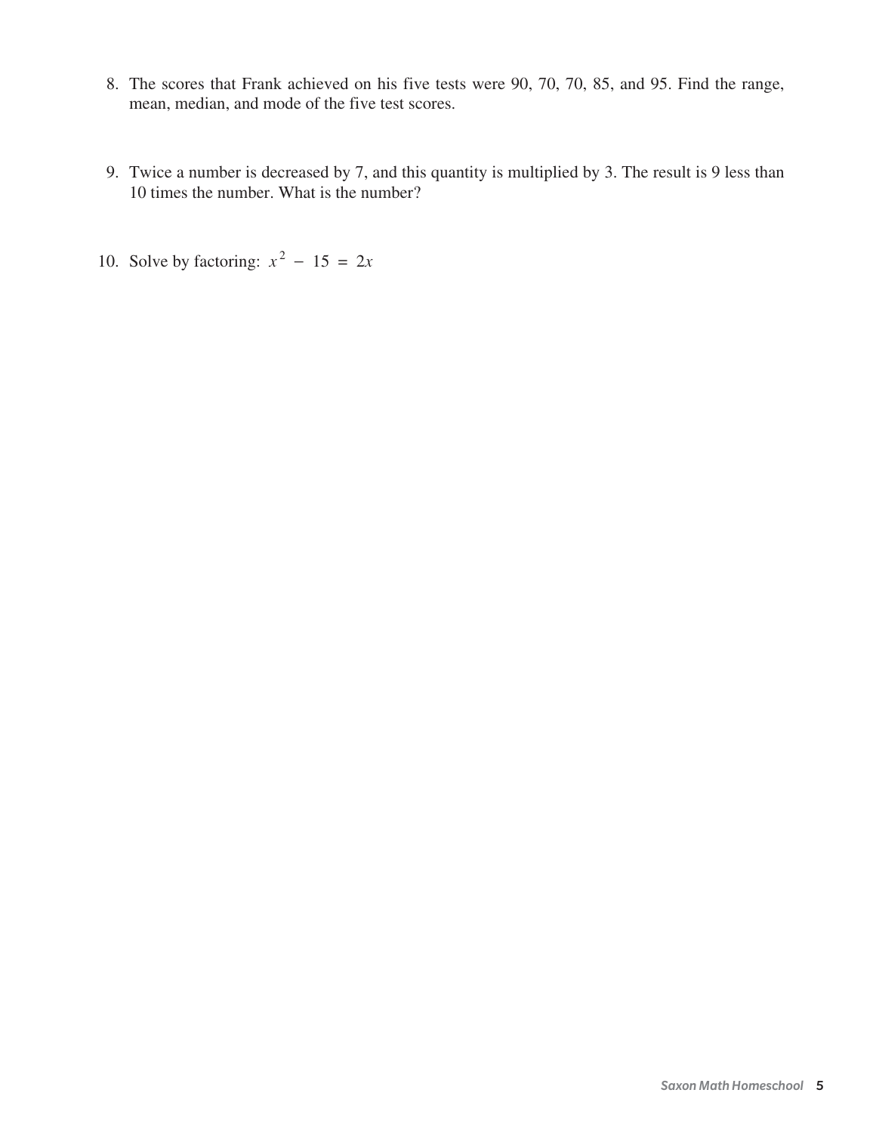- 8. The scores that Frank achieved on his five tests were 90, 70, 70, 85, and 95. Find the range, mean, median, and mode of the five test scores.
- 9. Twice a number is decreased by 7, and this quantity is multiplied by 3. The result is 9 less than 10 times the number. What is the number?
- 10. Solve by factoring:  $x^2 15 = 2x$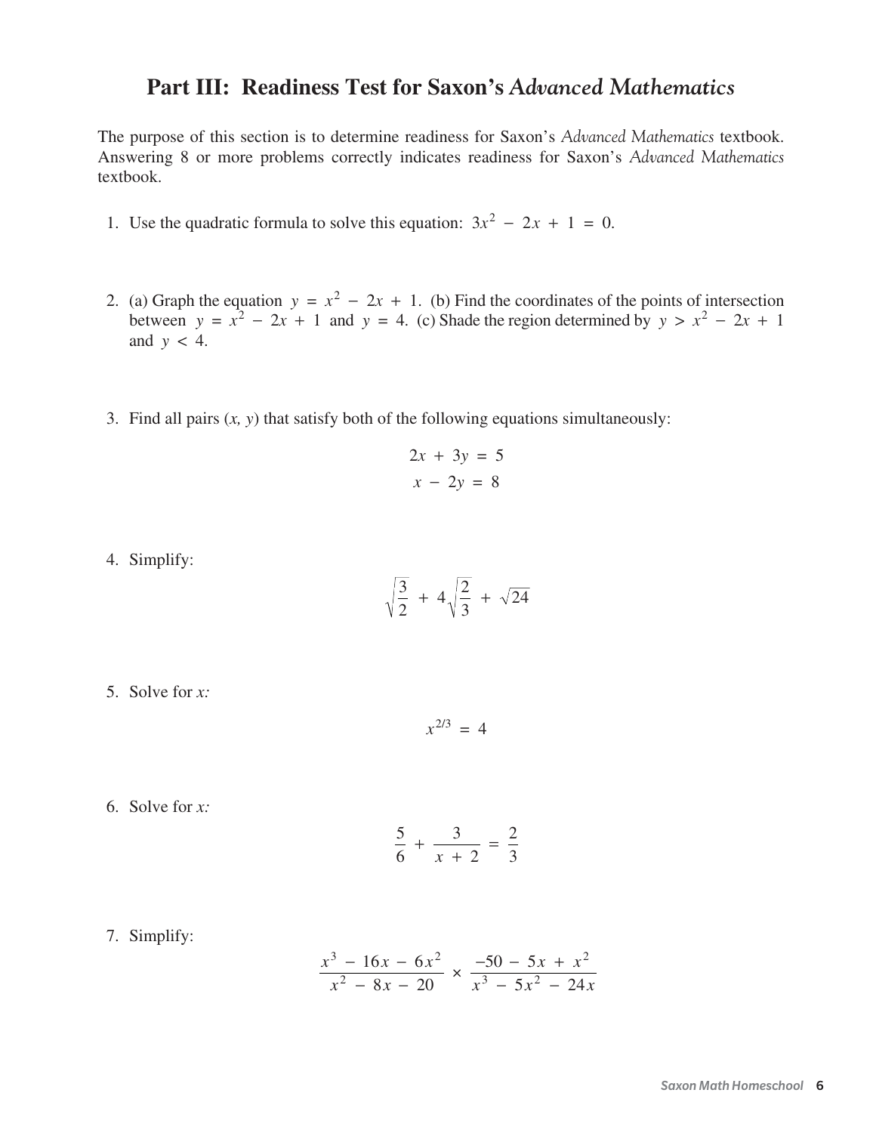# **Part III: Readiness Test for Saxon's** *Advanced Mathematics*

The purpose of this section is to determine readiness for Saxon's *Advanced Mathematics* textbook. Answering 8 or more problems correctly indicates readiness for Saxon's *Advanced Mathematics* textbook.

- 1. Use the quadratic formula to solve this equation:  $3x^2 2x + 1 = 0$ .
- 2. (a) Graph the equation  $y = x^2 2x + 1$ . (b) Find the coordinates of the points of intersection between  $y = x^2 - 2x + 1$  and  $y = 4$ . (c) Shade the region determined by  $y > x^2 - 2x + 1$ and  $y < 4$ .
- 3. Find all pairs (*x, y*) that satisfy both of the following equations simultaneously:

$$
2x + 3y = 5
$$

$$
x - 2y = 8
$$

4. Simplify:

$$
\sqrt{\frac{3}{2}} + 4\sqrt{\frac{2}{3}} + \sqrt{24}
$$

5. Solve for *x:*

 $x^{2/3} = 4$ 

6. Solve for *x:*

$$
\frac{5}{6} + \frac{3}{x+2} = \frac{2}{3}
$$

7. Simplify:

$$
\frac{x^3 - 16x - 6x^2}{x^2 - 8x - 20} \times \frac{-50 - 5x + x^2}{x^3 - 5x^2 - 24x}
$$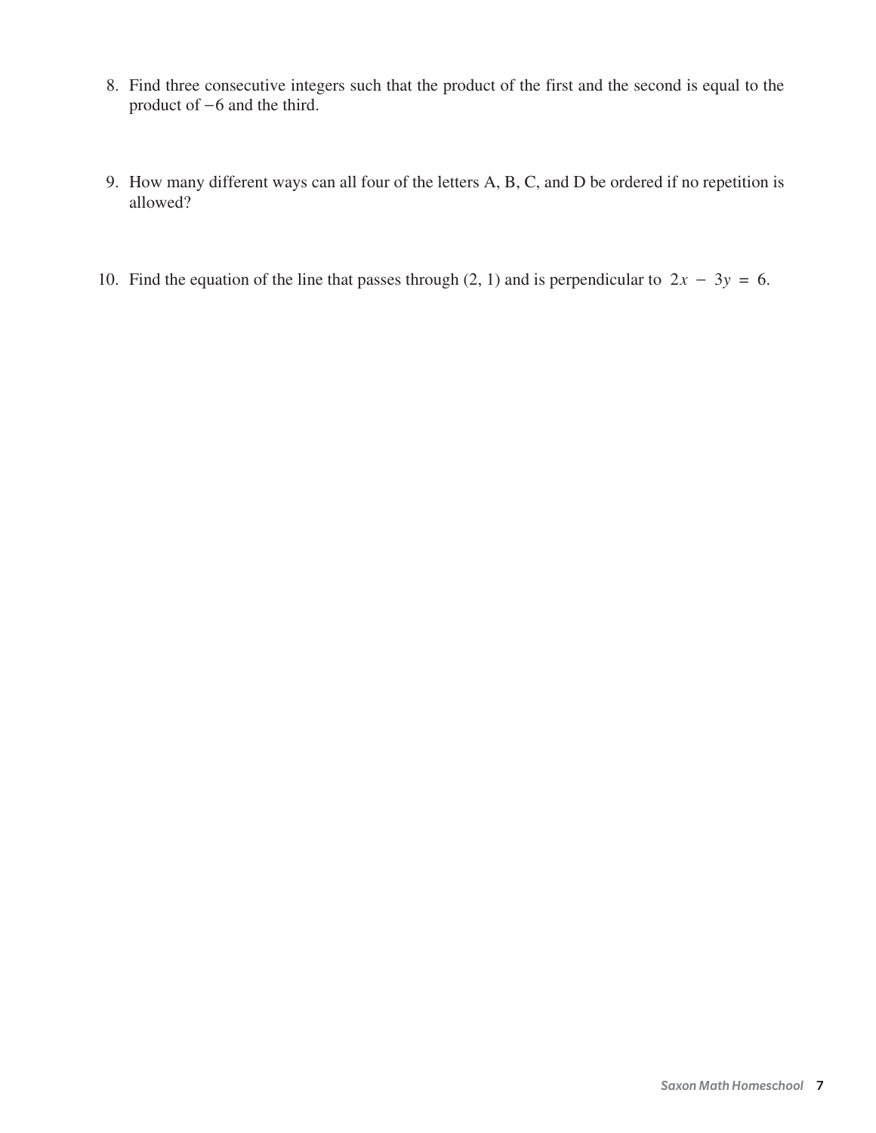- 8. Find three consecutive integers such that the product of the first and the second is equal to the product of  $-6$  and the third.
- 9. How many different ways can all four of the letters A, B, C, and D be ordered if no repetition is allowed?
- 10. Find the equation of the line that passes through (2, 1) and is perpendicular to  $2x 3y = 6$ .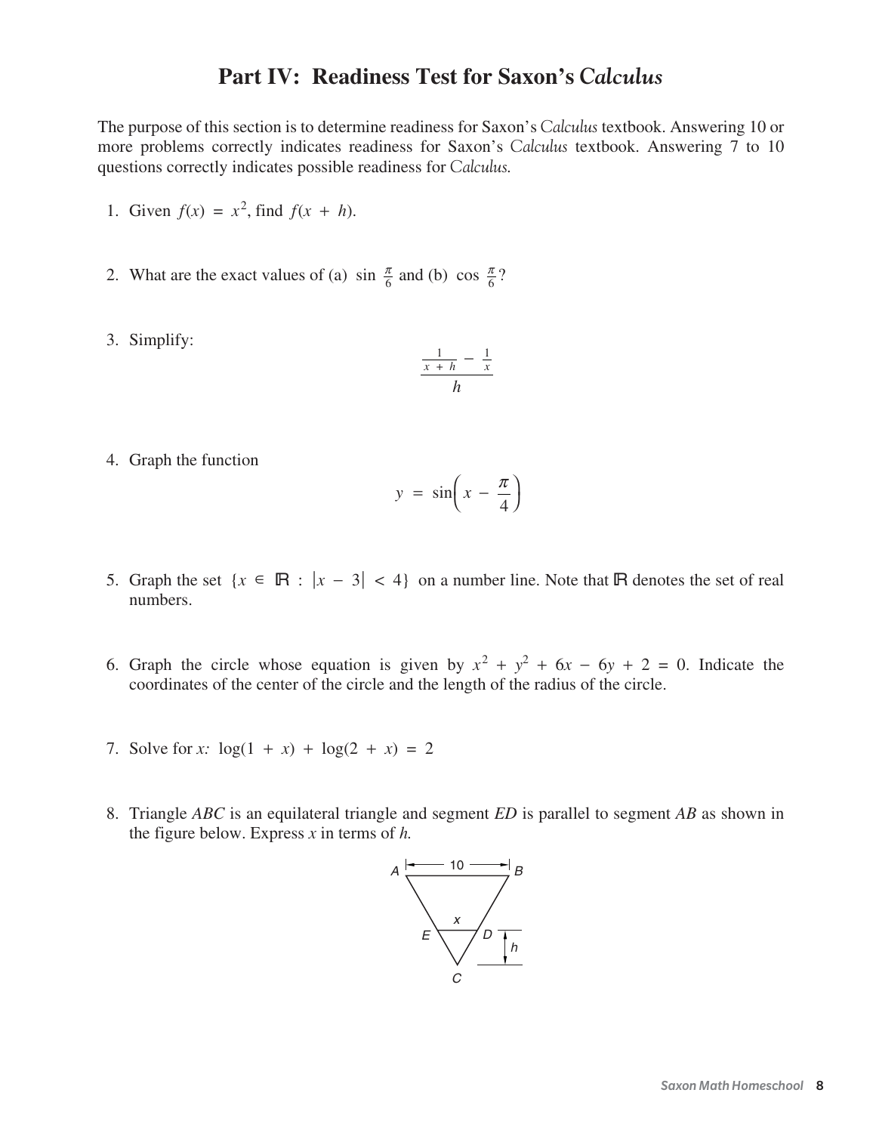# **Part IV: Readiness Test for Saxon's** *Calculus*

The purpose of this section is to determine readiness for Saxon's *Calculus* textbook. Answering 10 or more problems correctly indicates readiness for Saxon's *Calculus* textbook. Answering 7 to 10 questions correctly indicates possible readiness for *Calculus.*

- 1. Given  $f(x) = x^2$ , find  $f(x + h)$ .
- 2. What are the exact values of (a) sin  $\frac{\pi}{6}$  and (b) cos  $\frac{\pi}{6}$ ?  $\pi$ 6  $\pi$ 6
- 3. Simplify:

$$
\frac{\frac{1}{x+h} - \frac{1}{x}}{h}
$$

4. Graph the function

$$
y = \sin\left(x - \frac{\pi}{4}\right)
$$

- 5. Graph the set  $\{x \in \mathbb{R} : |x 3| < 4\}$  on a number line. Note that **R** denotes the set of real numbers.
- 6. Graph the circle whose equation is given by  $x^2 + y^2 + 6x 6y + 2 = 0$ . Indicate the coordinates of the center of the circle and the length of the radius of the circle.
- 7. Solve for x:  $\log(1 + x) + \log(2 + x) = 2$
- 8. Triangle *ABC* is an equilateral triangle and segment *ED* is parallel to segment *AB* as shown in the figure below. Express x in terms of h*.*

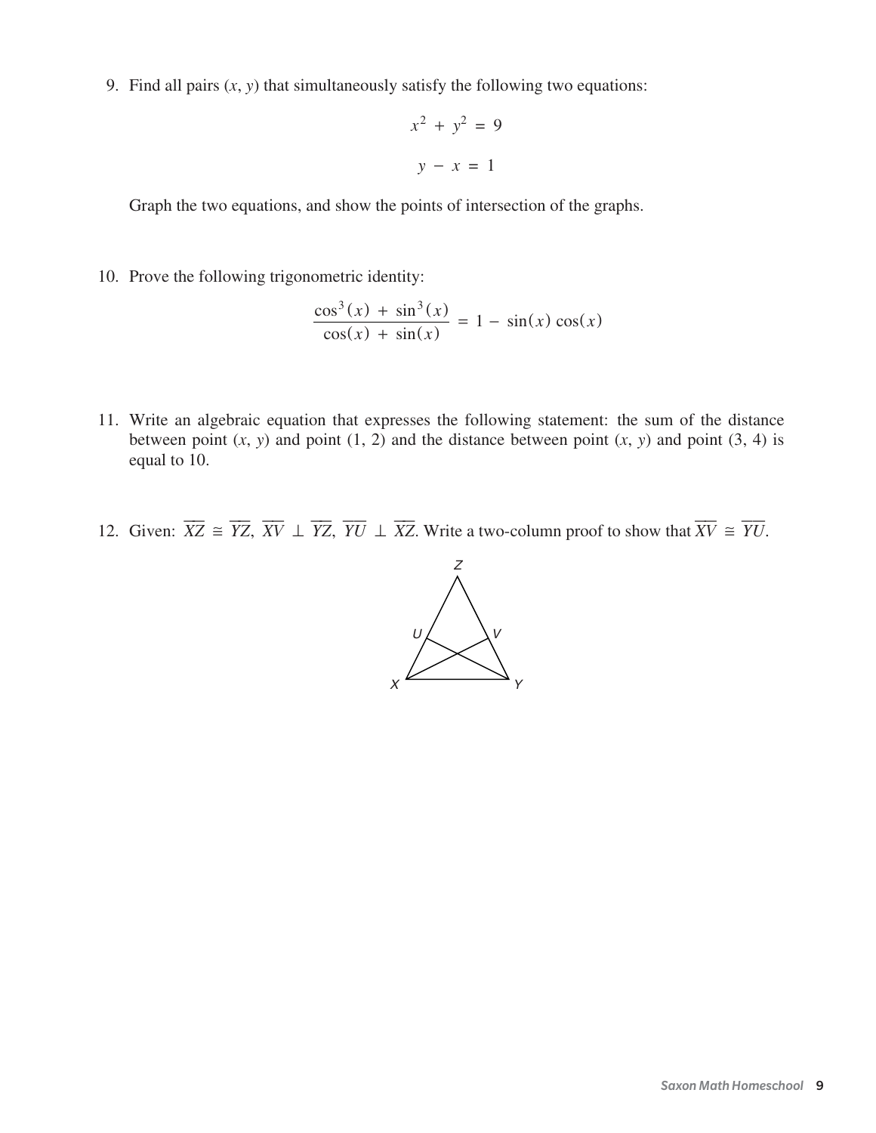9. Find all pairs  $(x, y)$  that simultaneously satisfy the following two equations:

$$
x^2 + y^2 = 9
$$

$$
y - x = 1
$$

Graph the two equations, and show the points of intersection of the graphs.

10. Prove the following trigonometric identity:

$$
\frac{\cos^3(x) + \sin^3(x)}{\cos(x) + \sin(x)} = 1 - \sin(x)\cos(x)
$$

- 11. Write an algebraic equation that expresses the following statement: the sum of the distance between point  $(x, y)$  and point  $(1, 2)$  and the distance between point  $(x, y)$  and point  $(3, 4)$  is equal to 10.
- 12. Given:  $\overline{XZ} \cong \overline{YZ}$ ,  $\overline{XV} \perp \overline{YZ}$ ,  $\overline{YU} \perp \overline{XZ}$ . Write a two-column proof to show that  $\overline{XV} \cong \overline{YU}$ .

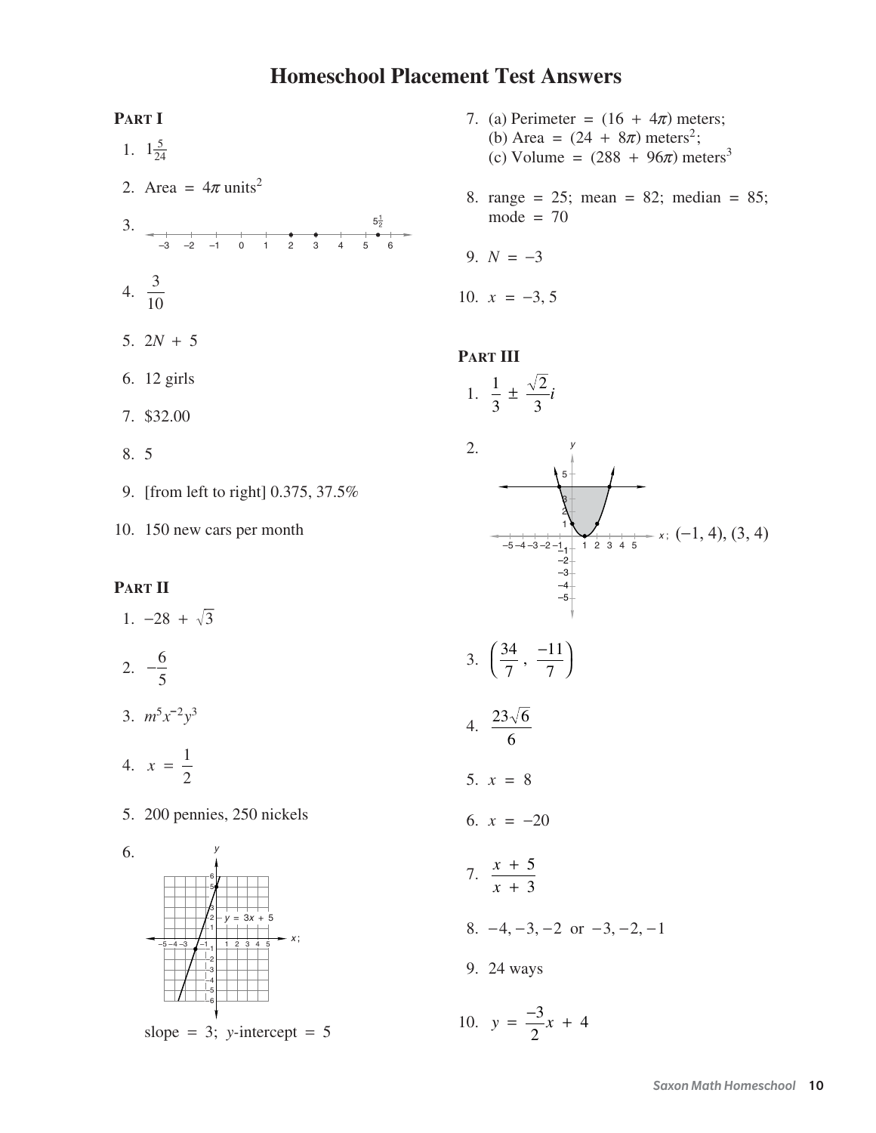# **Homeschool Placement Test Answers**



10. 150 new cars per month

#### **PART II**

1.  $-28 + \sqrt{3}$ 2.  $-\frac{6}{7}$ 3.  $m^5x^{-2}y^3$ 5

- 4.  $x = \frac{1}{2}$
- 5. 200 pennies, 250 nickels





slope = 3;  $y$ -intercept = 5

- 7. (a) Perimeter =  $(16 + 4\pi)$  meters; (b) Area =  $(24 + 8\pi)$  meters<sup>2</sup>; (c) Volume =  $(288 + 96\pi)$  meters<sup>3</sup>
- 8. range = 25; mean = 82; median = 85;  $mode = 70$
- 9.  $N = -3$

10.  $x = -3, 5$ 

#### **PART III**

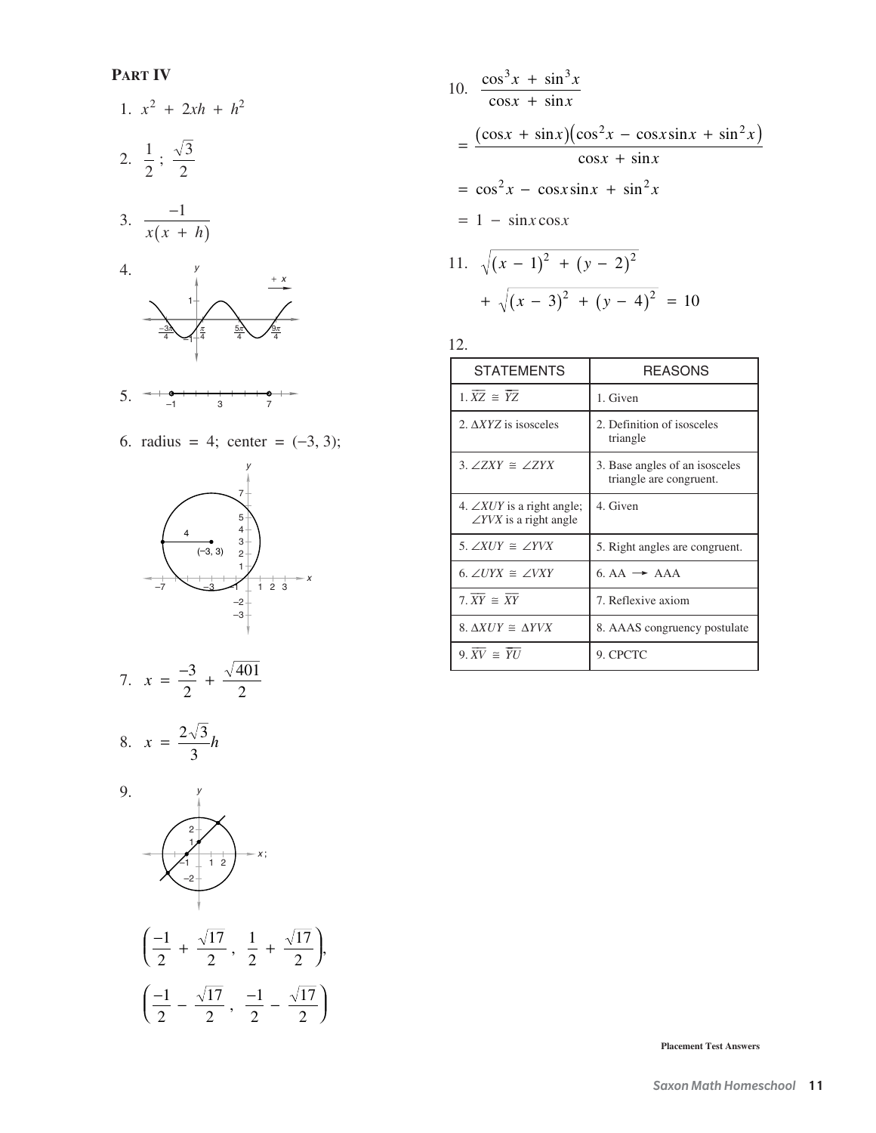#### **PART IV**

1. 
$$
x^2 + 2xh + h^2
$$
  
\n2.  $\frac{1}{2}$ ;  $\frac{\sqrt{3}}{2}$   
\n3.  $\frac{-1}{x(x+h)}$ 





6. radius = 4; center =  $(-3, 3)$ ;



7. 
$$
x = \frac{-3}{2} + \frac{\sqrt{401}}{2}
$$

$$
8. \quad x = \frac{2\sqrt{3}}{3}h
$$



10. 
$$
\frac{\cos^3 x + \sin^3 x}{\cos x + \sin x}
$$
  
= 
$$
\frac{(\cos x + \sin x)(\cos^2 x - \cos x \sin x + \sin^2 x)}{\cos x + \sin x}
$$
  
= 
$$
\cos^2 x - \cos x \sin x + \sin^2 x
$$
  
= 
$$
1 - \sin x \cos x
$$
  
11. 
$$
\sqrt{(x - 1)^2 + (y - 2)^2}
$$
  
+ 
$$
\sqrt{(x - 3)^2 + (y - 4)^2} = 10
$$

12.

| <b>STATEMENTS</b>                                                         | REASONS                                                   |  |  |
|---------------------------------------------------------------------------|-----------------------------------------------------------|--|--|
| $1.\overline{XZ} \cong \overline{YZ}$                                     | 1. Given                                                  |  |  |
| 2. AXYZ is isosceles                                                      | 2. Definition of isosceles<br>triangle                    |  |  |
| 3. $\angle ZXY \cong \angle ZYX$                                          | 3. Base angles of an isosceles<br>triangle are congruent. |  |  |
| 4. $\angle XUY$ is a right angle;<br>$\angle$ <i>YVX</i> is a right angle | 4. Given                                                  |  |  |
| 5. $\angle XUY \cong \angle YVX$                                          | 5. Right angles are congruent.                            |  |  |
| 6. $\angle UYX \cong \angle VXY$                                          | $6. AA \rightarrow AAA$                                   |  |  |
| 7. $\overline{XY} \cong \overline{XY}$                                    | 7. Reflexive axiom                                        |  |  |
| 8. $\Delta XUY \cong \Delta YVX$                                          | 8. AAAS congruency postulate                              |  |  |
| 9. $\overline{XV} \cong \overline{YU}$                                    | 9. CPCTC                                                  |  |  |

**Placement Test Answers**